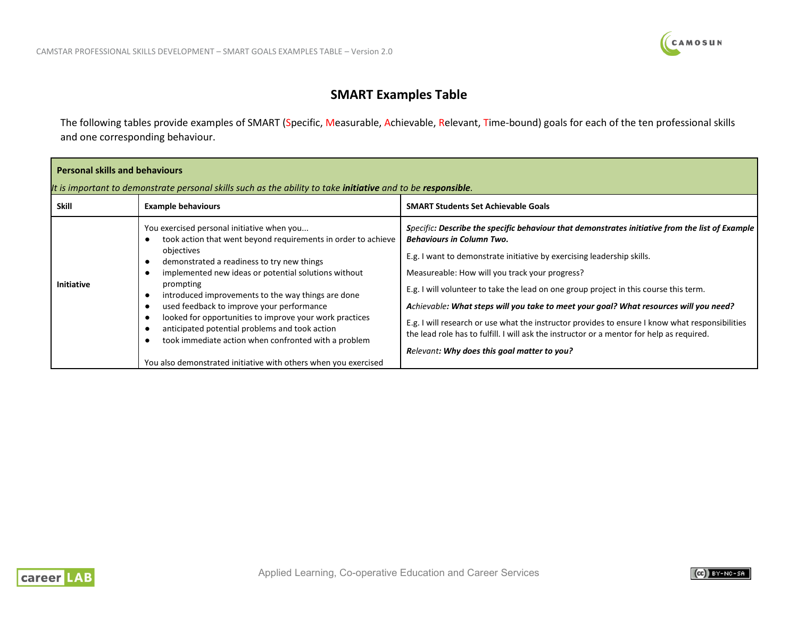

## **SMART Examples Table**

The following tables provide examples of SMART (Specific, Measurable, Achievable, Relevant, Time-bound) goals for each of the ten professional skills and one corresponding behaviour.

| <b>Personal skills and behaviours</b><br>It is important to demonstrate personal skills such as the ability to take <i>initiative</i> and to be responsible. |                                                                                                                                                                                                                                                                                                                                                                                                                                                                                                                                                                                         |                                                                                                                                                                                                                                                                                                                                                                                                                                                                                                                                                                                                                                                                                                  |
|--------------------------------------------------------------------------------------------------------------------------------------------------------------|-----------------------------------------------------------------------------------------------------------------------------------------------------------------------------------------------------------------------------------------------------------------------------------------------------------------------------------------------------------------------------------------------------------------------------------------------------------------------------------------------------------------------------------------------------------------------------------------|--------------------------------------------------------------------------------------------------------------------------------------------------------------------------------------------------------------------------------------------------------------------------------------------------------------------------------------------------------------------------------------------------------------------------------------------------------------------------------------------------------------------------------------------------------------------------------------------------------------------------------------------------------------------------------------------------|
| <b>Skill</b>                                                                                                                                                 | <b>Example behaviours</b>                                                                                                                                                                                                                                                                                                                                                                                                                                                                                                                                                               | <b>SMART Students Set Achievable Goals</b>                                                                                                                                                                                                                                                                                                                                                                                                                                                                                                                                                                                                                                                       |
| <b>Initiative</b>                                                                                                                                            | You exercised personal initiative when you<br>took action that went beyond requirements in order to achieve<br>objectives<br>demonstrated a readiness to try new things<br>implemented new ideas or potential solutions without<br>prompting<br>introduced improvements to the way things are done<br>used feedback to improve your performance<br>looked for opportunities to improve your work practices<br>anticipated potential problems and took action<br>took immediate action when confronted with a problem<br>You also demonstrated initiative with others when you exercised | Specific: Describe the specific behaviour that demonstrates initiative from the list of Example<br><b>Behaviours in Column Two.</b><br>E.g. I want to demonstrate initiative by exercising leadership skills.<br>Measureable: How will you track your progress?<br>E.g. I will volunteer to take the lead on one group project in this course this term.<br>Achievable: What steps will you take to meet your goal? What resources will you need?<br>E.g. I will research or use what the instructor provides to ensure I know what responsibilities<br>the lead role has to fulfill. I will ask the instructor or a mentor for help as required.<br>Relevant: Why does this goal matter to you? |



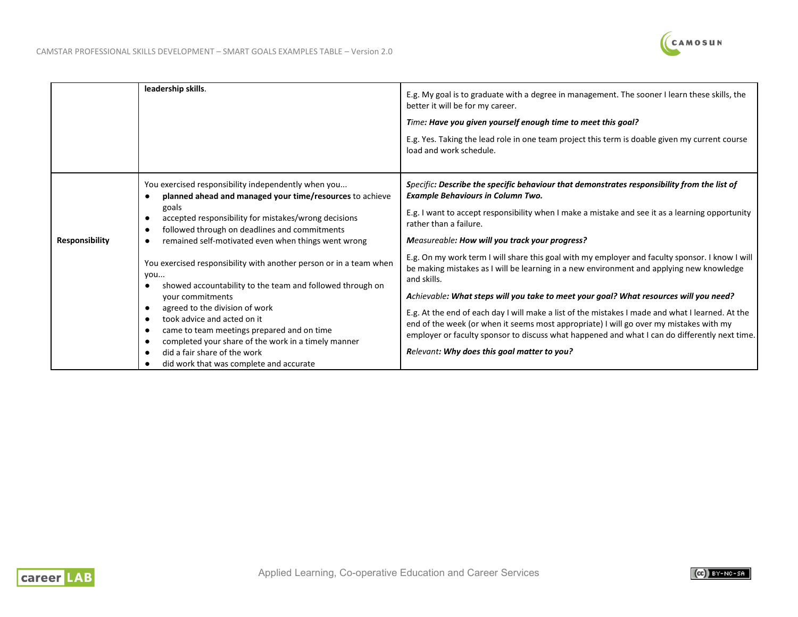

|                       | leadership skills.                                                                                                                                                                                                                                                                                                                                                                                          | E.g. My goal is to graduate with a degree in management. The sooner I learn these skills, the<br>better it will be for my career.<br>Time: Have you given yourself enough time to meet this goal?                                                                                                                                                                                                                                                                                                                                                                                                                                                 |
|-----------------------|-------------------------------------------------------------------------------------------------------------------------------------------------------------------------------------------------------------------------------------------------------------------------------------------------------------------------------------------------------------------------------------------------------------|---------------------------------------------------------------------------------------------------------------------------------------------------------------------------------------------------------------------------------------------------------------------------------------------------------------------------------------------------------------------------------------------------------------------------------------------------------------------------------------------------------------------------------------------------------------------------------------------------------------------------------------------------|
|                       |                                                                                                                                                                                                                                                                                                                                                                                                             | E.g. Yes. Taking the lead role in one team project this term is doable given my current course<br>load and work schedule.                                                                                                                                                                                                                                                                                                                                                                                                                                                                                                                         |
| <b>Responsibility</b> | You exercised responsibility independently when you<br>planned ahead and managed your time/resources to achieve<br>goals<br>accepted responsibility for mistakes/wrong decisions<br>followed through on deadlines and commitments<br>remained self-motivated even when things went wrong                                                                                                                    | Specific: Describe the specific behaviour that demonstrates responsibility from the list of<br><b>Example Behaviours in Column Two.</b><br>E.g. I want to accept responsibility when I make a mistake and see it as a learning opportunity<br>rather than a failure.<br>Measureable: How will you track your progress?                                                                                                                                                                                                                                                                                                                            |
|                       | You exercised responsibility with another person or in a team when<br>you<br>showed accountability to the team and followed through on<br>your commitments<br>agreed to the division of work<br>took advice and acted on it<br>came to team meetings prepared and on time<br>completed your share of the work in a timely manner<br>did a fair share of the work<br>did work that was complete and accurate | E.g. On my work term I will share this goal with my employer and faculty sponsor. I know I will<br>be making mistakes as I will be learning in a new environment and applying new knowledge<br>and skills.<br>Achievable: What steps will you take to meet your goal? What resources will you need?<br>E.g. At the end of each day I will make a list of the mistakes I made and what I learned. At the<br>end of the week (or when it seems most appropriate) I will go over my mistakes with my<br>employer or faculty sponsor to discuss what happened and what I can do differently next time.<br>Relevant: Why does this goal matter to you? |

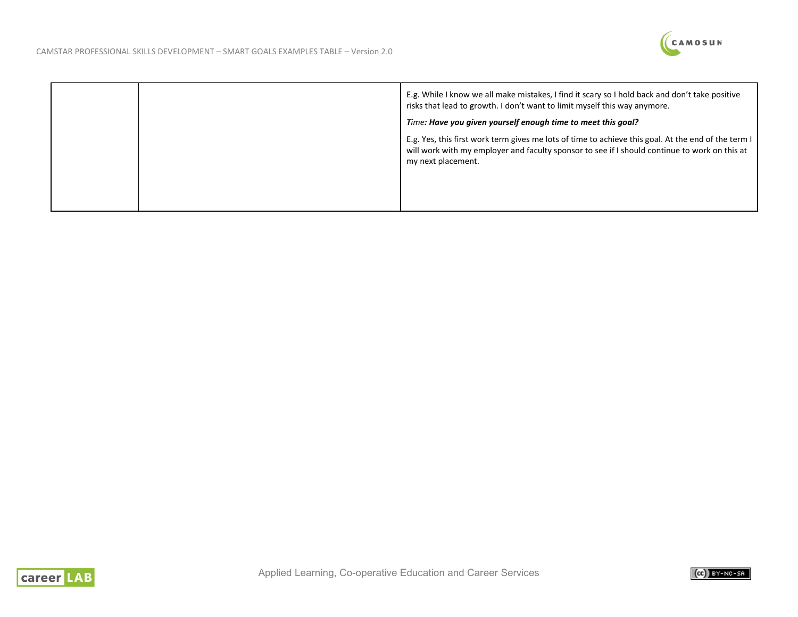

|  | E.g. While I know we all make mistakes, I find it scary so I hold back and don't take positive<br>risks that lead to growth. I don't want to limit myself this way anymore.                                                |
|--|----------------------------------------------------------------------------------------------------------------------------------------------------------------------------------------------------------------------------|
|  | Time: Have you given yourself enough time to meet this goal?                                                                                                                                                               |
|  | E.g. Yes, this first work term gives me lots of time to achieve this goal. At the end of the term I<br>will work with my employer and faculty sponsor to see if I should continue to work on this at<br>my next placement. |
|  |                                                                                                                                                                                                                            |



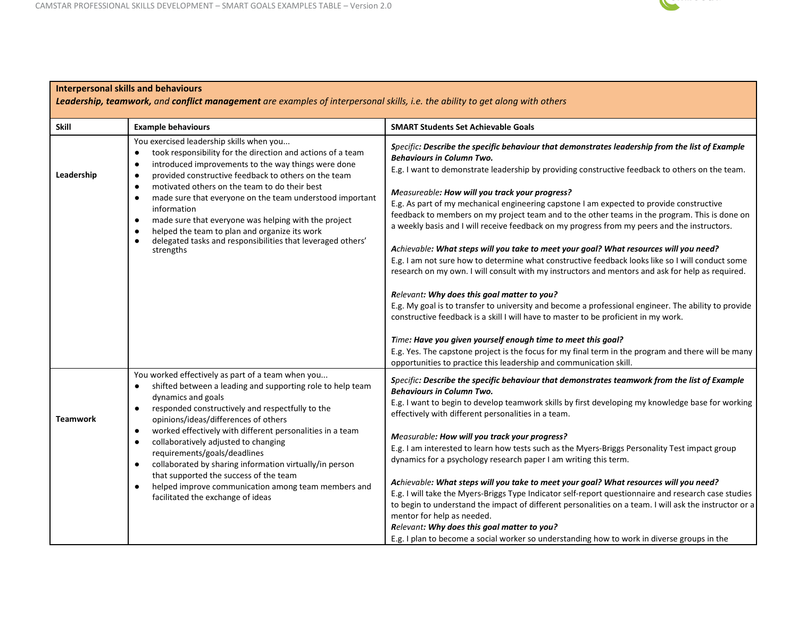**Interpersonal skills and behaviours**



## **Skill Example behaviours SMART Students Set Achievable Goals Leadership** You exercised leadership skills when you... ● took responsibility for the direction and actions of a team ● introduced improvements to the way things were done ● provided constructive feedback to others on the team ● motivated others on the team to do their best ● made sure that everyone on the team understood important information ● made sure that everyone was helping with the project ● helped the team to plan and organize its work ● delegated tasks and responsibilities that leveraged others' strengths *Specific: Describe the specific behaviour that demonstrates leadership from the list of Example Behaviours in Column Two.* E.g. I want to demonstrate leadership by providing constructive feedback to others on the team. *Measureable: How will you track your progress?* E.g. As part of my mechanical engineering capstone I am expected to provide constructive feedback to members on my project team and to the other teams in the program. This is done on a weekly basis and I will receive feedback on my progress from my peers and the instructors. *Achievable: What steps will you take to meet your goal? What resources will you need?* E.g. I am not sure how to determine what constructive feedback looks like so I will conduct some research on my own. I will consult with my instructors and mentors and ask for help as required. *Relevant: Why does this goal matter to you?* E.g. My goal is to transfer to university and become a professional engineer. The ability to provide constructive feedback is a skill I will have to master to be proficient in my work. *Time: Have you given yourself enough time to meet this goal?* E.g. Yes. The capstone project is the focus for my final term in the program and there will be many opportunities to practice this leadership and communication skill. **Teamwork** You worked effectively as part of a team when you... ● shifted between a leading and supporting role to help team dynamics and goals ● responded constructively and respectfully to the opinions/ideas/differences of others ● worked effectively with different personalities in a team ● collaboratively adjusted to changing requirements/goals/deadlines ● collaborated by sharing information virtually/in person that supported the success of the team ● helped improve communication among team members and facilitated the exchange of ideas *Specific: Describe the specific behaviour that demonstrates teamwork from the list of Example Behaviours in Column Two.* E.g. I want to begin to develop teamwork skills by first developing my knowledge base for working effectively with different personalities in a team. *Measurable: How will you track your progress?* E.g. I am interested to learn how tests such as the Myers-Briggs Personality Test impact group dynamics for a psychology research paper I am writing this term. *Achievable: What steps will you take to meet your goal? What resources will you need?* E.g. I will take the Myers-Briggs Type Indicator self-report questionnaire and research case studies to begin to understand the impact of different personalities on a team. I will ask the instructor or a

mentor for help as needed.

*Relevant: Why does this goal matter to you?*

E.g. I plan to become a social worker so understanding how to work in diverse groups in the

*Leadership, teamwork, and conflict management are examples of interpersonal skills, i.e. the ability to get along with others*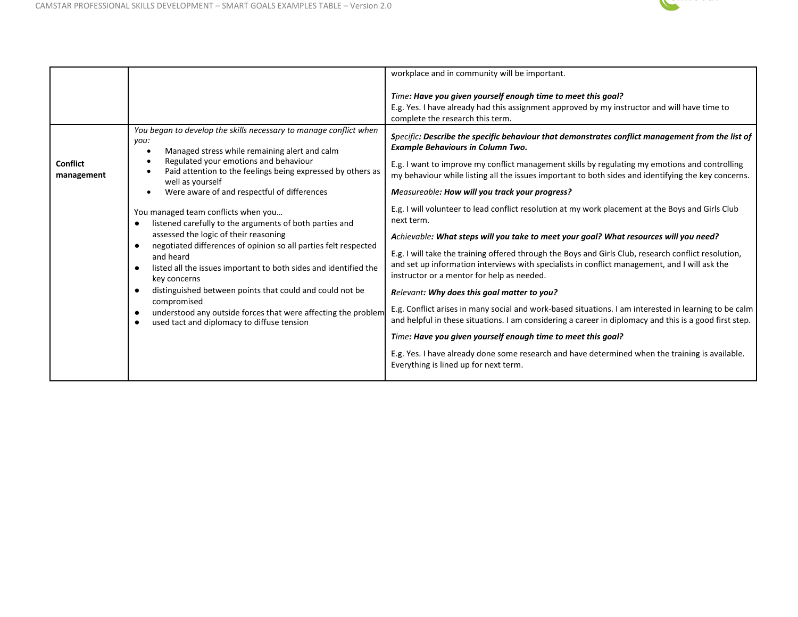

|                               |                                                                                                                                                                                                                                                                                  | workplace and in community will be important.                                                                                                                                                                                                                                                                                                         |
|-------------------------------|----------------------------------------------------------------------------------------------------------------------------------------------------------------------------------------------------------------------------------------------------------------------------------|-------------------------------------------------------------------------------------------------------------------------------------------------------------------------------------------------------------------------------------------------------------------------------------------------------------------------------------------------------|
|                               |                                                                                                                                                                                                                                                                                  | Time: Have you given yourself enough time to meet this goal?<br>E.g. Yes. I have already had this assignment approved by my instructor and will have time to<br>complete the research this term.                                                                                                                                                      |
| <b>Conflict</b><br>management | You began to develop the skills necessary to manage conflict when<br>you:<br>Managed stress while remaining alert and calm<br>Regulated your emotions and behaviour<br>$\bullet$<br>Paid attention to the feelings being expressed by others as<br>$\bullet$<br>well as yourself | Specific: Describe the specific behaviour that demonstrates conflict management from the list of<br><b>Example Behaviours in Column Two.</b><br>E.g. I want to improve my conflict management skills by regulating my emotions and controlling<br>my behaviour while listing all the issues important to both sides and identifying the key concerns. |
|                               | Were aware of and respectful of differences<br>$\bullet$                                                                                                                                                                                                                         | Measureable: How will you track your progress?                                                                                                                                                                                                                                                                                                        |
|                               | You managed team conflicts when you<br>listened carefully to the arguments of both parties and<br>٠                                                                                                                                                                              | E.g. I will volunteer to lead conflict resolution at my work placement at the Boys and Girls Club<br>next term.                                                                                                                                                                                                                                       |
|                               | assessed the logic of their reasoning<br>negotiated differences of opinion so all parties felt respected<br>$\bullet$                                                                                                                                                            | Achievable: What steps will you take to meet your goal? What resources will you need?                                                                                                                                                                                                                                                                 |
|                               | and heard<br>listed all the issues important to both sides and identified the<br>$\bullet$<br>key concerns                                                                                                                                                                       | E.g. I will take the training offered through the Boys and Girls Club, research conflict resolution,<br>and set up information interviews with specialists in conflict management, and I will ask the<br>instructor or a mentor for help as needed.                                                                                                   |
|                               | distinguished between points that could and could not be<br>$\bullet$<br>compromised                                                                                                                                                                                             | Relevant: Why does this goal matter to you?                                                                                                                                                                                                                                                                                                           |
|                               | understood any outside forces that were affecting the problem<br>used tact and diplomacy to diffuse tension<br>$\bullet$                                                                                                                                                         | E.g. Conflict arises in many social and work-based situations. I am interested in learning to be calm<br>and helpful in these situations. I am considering a career in diplomacy and this is a good first step.                                                                                                                                       |
|                               |                                                                                                                                                                                                                                                                                  | Time: Have you given yourself enough time to meet this goal?                                                                                                                                                                                                                                                                                          |
|                               |                                                                                                                                                                                                                                                                                  | E.g. Yes. I have already done some research and have determined when the training is available.<br>Everything is lined up for next term.                                                                                                                                                                                                              |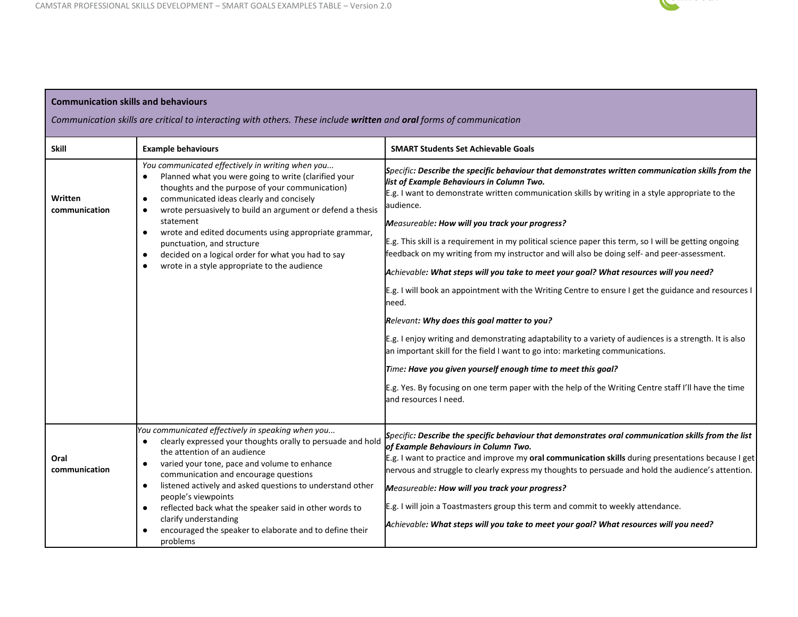a sa kabila na katika sa katika sa mga sangayon ng mga sangayon ng mga sangayon ng mga sangayon ng mga sangayo

 $\Box$ 



п

| <b>Communication skills and behaviours</b>                                                                          |                                                                                                                                                                                                                                                                                                                                                                                                                                                                                                                                          |                                                                                                                                                                                                                                                                                                                                                                                                                                                                                                                                                                                                                                                                                                                                                                                                                                                                                                                                                                                                                                                                                                                                                                                  |
|---------------------------------------------------------------------------------------------------------------------|------------------------------------------------------------------------------------------------------------------------------------------------------------------------------------------------------------------------------------------------------------------------------------------------------------------------------------------------------------------------------------------------------------------------------------------------------------------------------------------------------------------------------------------|----------------------------------------------------------------------------------------------------------------------------------------------------------------------------------------------------------------------------------------------------------------------------------------------------------------------------------------------------------------------------------------------------------------------------------------------------------------------------------------------------------------------------------------------------------------------------------------------------------------------------------------------------------------------------------------------------------------------------------------------------------------------------------------------------------------------------------------------------------------------------------------------------------------------------------------------------------------------------------------------------------------------------------------------------------------------------------------------------------------------------------------------------------------------------------|
| Communication skills are critical to interacting with others. These include written and oral forms of communication |                                                                                                                                                                                                                                                                                                                                                                                                                                                                                                                                          |                                                                                                                                                                                                                                                                                                                                                                                                                                                                                                                                                                                                                                                                                                                                                                                                                                                                                                                                                                                                                                                                                                                                                                                  |
| <b>Skill</b>                                                                                                        | <b>Example behaviours</b>                                                                                                                                                                                                                                                                                                                                                                                                                                                                                                                | <b>SMART Students Set Achievable Goals</b>                                                                                                                                                                                                                                                                                                                                                                                                                                                                                                                                                                                                                                                                                                                                                                                                                                                                                                                                                                                                                                                                                                                                       |
| Written<br>communication                                                                                            | You communicated effectively in writing when you<br>Planned what you were going to write (clarified your<br>thoughts and the purpose of your communication)<br>communicated ideas clearly and concisely<br>$\bullet$<br>wrote persuasively to build an argument or defend a thesis<br>$\bullet$<br>statement<br>wrote and edited documents using appropriate grammar,<br>٠<br>punctuation, and structure<br>decided on a logical order for what you had to say<br>$\bullet$<br>wrote in a style appropriate to the audience<br>$\bullet$ | Specific: Describe the specific behaviour that demonstrates written communication skills from the<br>list of Example Behaviours in Column Two.<br>E.g. I want to demonstrate written communication skills by writing in a style appropriate to the<br>audience.<br>Measureable: How will you track your progress?<br>E.g. This skill is a requirement in my political science paper this term, so I will be getting ongoing<br>feedback on my writing from my instructor and will also be doing self- and peer-assessment.<br>Achievable: What steps will you take to meet your goal? What resources will you need?<br>E.g. I will book an appointment with the Writing Centre to ensure I get the guidance and resources I<br>need.<br>Relevant: Why does this goal matter to you?<br>E.g. I enjoy writing and demonstrating adaptability to a variety of audiences is a strength. It is also<br>an important skill for the field I want to go into: marketing communications.<br>Time: Have you given yourself enough time to meet this goal?<br>E.g. Yes. By focusing on one term paper with the help of the Writing Centre staff I'll have the time<br>and resources I need. |
| Oral<br>communication                                                                                               | You communicated effectively in speaking when you<br>clearly expressed your thoughts orally to persuade and hold<br>the attention of an audience<br>varied your tone, pace and volume to enhance<br>٠<br>communication and encourage questions<br>listened actively and asked questions to understand other<br>people's viewpoints<br>reflected back what the speaker said in other words to<br>$\bullet$<br>clarify understanding<br>encouraged the speaker to elaborate and to define their<br>problems                                | Specific: Describe the specific behaviour that demonstrates oral communication skills from the list<br>of Example Behaviours in Column Two.<br>E.g. I want to practice and improve my oral communication skills during presentations because I get<br>nervous and struggle to clearly express my thoughts to persuade and hold the audience's attention.<br>Measureable: How will you track your progress?<br>E.g. I will join a Toastmasters group this term and commit to weekly attendance.<br>Achievable: What steps will you take to meet your goal? What resources will you need?                                                                                                                                                                                                                                                                                                                                                                                                                                                                                                                                                                                          |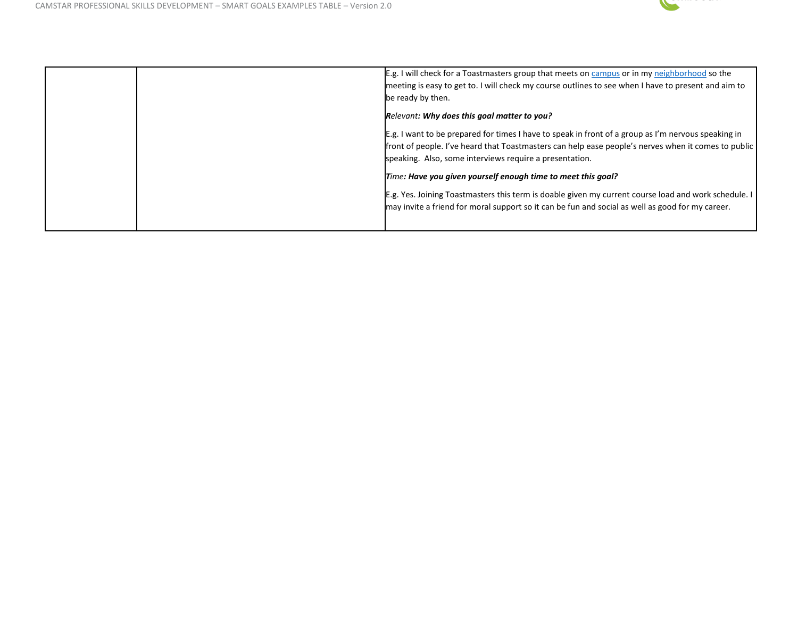

| E.g. I will check for a Toastmasters group that meets on campus or in my neighborhood so the<br>meeting is easy to get to. I will check my course outlines to see when I have to present and aim to<br>be ready by then.                                              |
|-----------------------------------------------------------------------------------------------------------------------------------------------------------------------------------------------------------------------------------------------------------------------|
| Relevant: Why does this goal matter to you?                                                                                                                                                                                                                           |
| E.g. I want to be prepared for times I have to speak in front of a group as I'm nervous speaking in<br>front of people. I've heard that Toastmasters can help ease people's nerves when it comes to public<br>speaking. Also, some interviews require a presentation. |
| Time: Have you given yourself enough time to meet this goal?                                                                                                                                                                                                          |
| E.g. Yes. Joining Toastmasters this term is doable given my current course load and work schedule.<br>may invite a friend for moral support so it can be fun and social as well as good for my career.                                                                |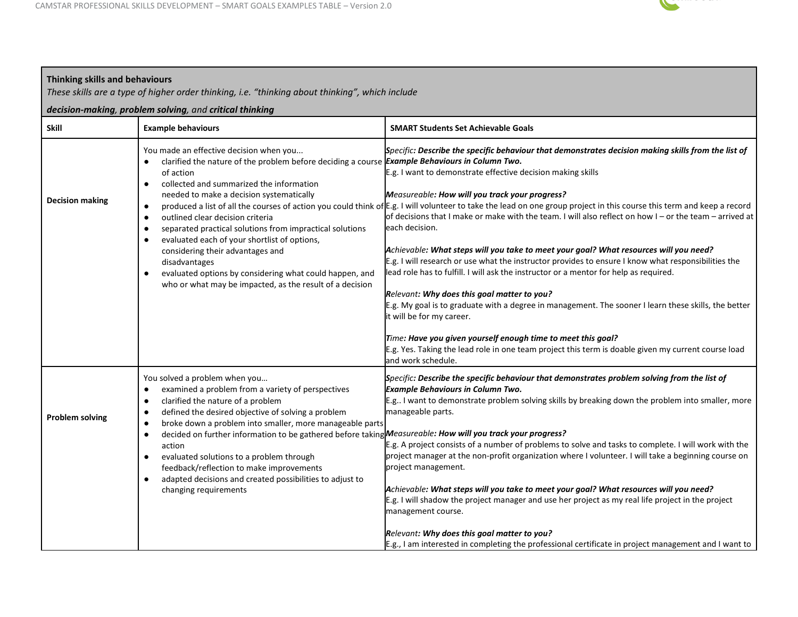

| <b>Thinking skills and behaviours</b><br>These skills are a type of higher order thinking, i.e. "thinking about thinking", which include |                                                                                                                                                                                                                                                                                                                                                                                                                                                                                                                                                                                                                                                          |                                                                                                                                                                                                                                                                                                                                                                                                                                                                                                                                                                                                                                                                                                                                                                                                                                                                                                                                                                                                                                                                                                                                                                                                       |  |
|------------------------------------------------------------------------------------------------------------------------------------------|----------------------------------------------------------------------------------------------------------------------------------------------------------------------------------------------------------------------------------------------------------------------------------------------------------------------------------------------------------------------------------------------------------------------------------------------------------------------------------------------------------------------------------------------------------------------------------------------------------------------------------------------------------|-------------------------------------------------------------------------------------------------------------------------------------------------------------------------------------------------------------------------------------------------------------------------------------------------------------------------------------------------------------------------------------------------------------------------------------------------------------------------------------------------------------------------------------------------------------------------------------------------------------------------------------------------------------------------------------------------------------------------------------------------------------------------------------------------------------------------------------------------------------------------------------------------------------------------------------------------------------------------------------------------------------------------------------------------------------------------------------------------------------------------------------------------------------------------------------------------------|--|
|                                                                                                                                          | decision-making, problem solving, and critical thinking                                                                                                                                                                                                                                                                                                                                                                                                                                                                                                                                                                                                  |                                                                                                                                                                                                                                                                                                                                                                                                                                                                                                                                                                                                                                                                                                                                                                                                                                                                                                                                                                                                                                                                                                                                                                                                       |  |
| <b>Skill</b>                                                                                                                             | <b>Example behaviours</b>                                                                                                                                                                                                                                                                                                                                                                                                                                                                                                                                                                                                                                | <b>SMART Students Set Achievable Goals</b>                                                                                                                                                                                                                                                                                                                                                                                                                                                                                                                                                                                                                                                                                                                                                                                                                                                                                                                                                                                                                                                                                                                                                            |  |
| <b>Decision making</b>                                                                                                                   | You made an effective decision when you<br>clarified the nature of the problem before deciding a course Example Behaviours in Column Two.<br>of action<br>collected and summarized the information<br>$\bullet$<br>needed to make a decision systematically<br>$\bullet$<br>outlined clear decision criteria<br>$\bullet$<br>separated practical solutions from impractical solutions<br>$\bullet$<br>evaluated each of your shortlist of options,<br>$\bullet$<br>considering their advantages and<br>disadvantages<br>evaluated options by considering what could happen, and<br>$\bullet$<br>who or what may be impacted, as the result of a decision | Specific: Describe the specific behaviour that demonstrates decision making skills from the list of<br>E.g. I want to demonstrate effective decision making skills<br>Measureable: How will you track your progress?<br>produced a list of all the courses of action you could think of E.g. I will volunteer to take the lead on one group project in this course this term and keep a record<br>of decisions that I make or make with the team. I will also reflect on how I – or the team – arrived at<br>each decision.<br>Achievable: What steps will you take to meet your goal? What resources will you need?<br>E.g. I will research or use what the instructor provides to ensure I know what responsibilities the<br>lead role has to fulfill. I will ask the instructor or a mentor for help as required.<br>Relevant: Why does this goal matter to you?<br>E.g. My goal is to graduate with a degree in management. The sooner I learn these skills, the better<br>it will be for my career.<br>Time: Have you given yourself enough time to meet this goal?<br>E.g. Yes. Taking the lead role in one team project this term is doable given my current course load<br>and work schedule. |  |
| <b>Problem solving</b>                                                                                                                   | You solved a problem when you<br>examined a problem from a variety of perspectives<br>$\bullet$<br>clarified the nature of a problem<br>$\bullet$<br>defined the desired objective of solving a problem<br>٠<br>broke down a problem into smaller, more manageable parts<br>$\bullet$<br>decided on further information to be gathered before taking Measureable: How will you track your progress?<br>$\bullet$<br>action<br>evaluated solutions to a problem through<br>feedback/reflection to make improvements<br>adapted decisions and created possibilities to adjust to<br>$\bullet$<br>changing requirements                                     | Specific: Describe the specific behaviour that demonstrates problem solving from the list of<br><b>Example Behaviours in Column Two.</b><br>E.g I want to demonstrate problem solving skills by breaking down the problem into smaller, more<br>manageable parts.<br>E.g. A project consists of a number of problems to solve and tasks to complete. I will work with the<br>project manager at the non-profit organization where I volunteer. I will take a beginning course on<br>project management.<br>Achievable: What steps will you take to meet your goal? What resources will you need?<br>E.g. I will shadow the project manager and use her project as my real life project in the project<br>management course.<br>Relevant: Why does this goal matter to you?                                                                                                                                                                                                                                                                                                                                                                                                                            |  |
|                                                                                                                                          |                                                                                                                                                                                                                                                                                                                                                                                                                                                                                                                                                                                                                                                          | E.g., I am interested in completing the professional certificate in project management and I want to                                                                                                                                                                                                                                                                                                                                                                                                                                                                                                                                                                                                                                                                                                                                                                                                                                                                                                                                                                                                                                                                                                  |  |